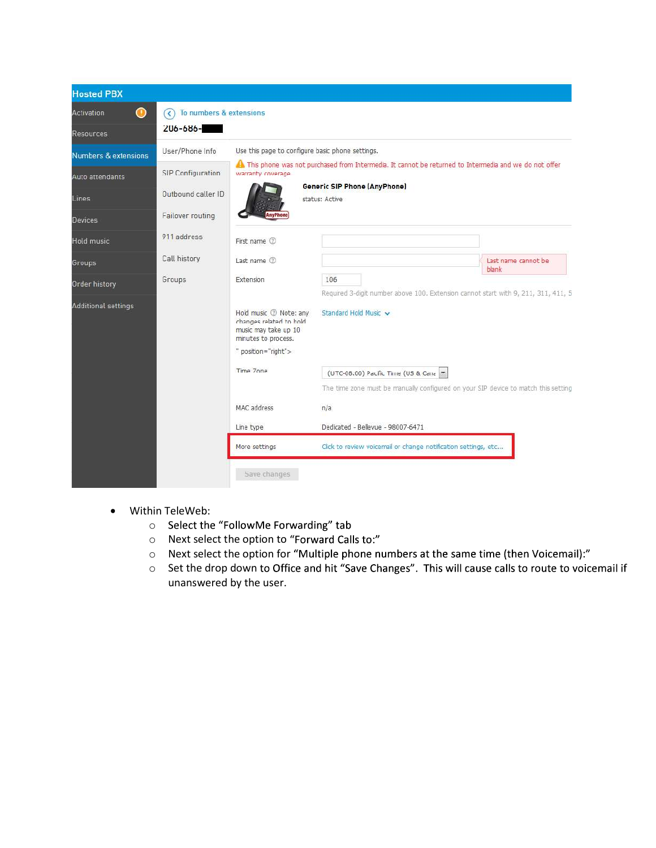

- Within TeleWeb:
	- o Select the "FollowMe Forwarding" tab
	- o Next select the option to "Forward Calls to:"
	- o Next select the option for "Multiple phone numbers at the same time (then Voicemail):"
	- $\circ$  Set the drop down to Office and hit "Save Changes". This will cause calls to route to voicemail if unanswered by the user.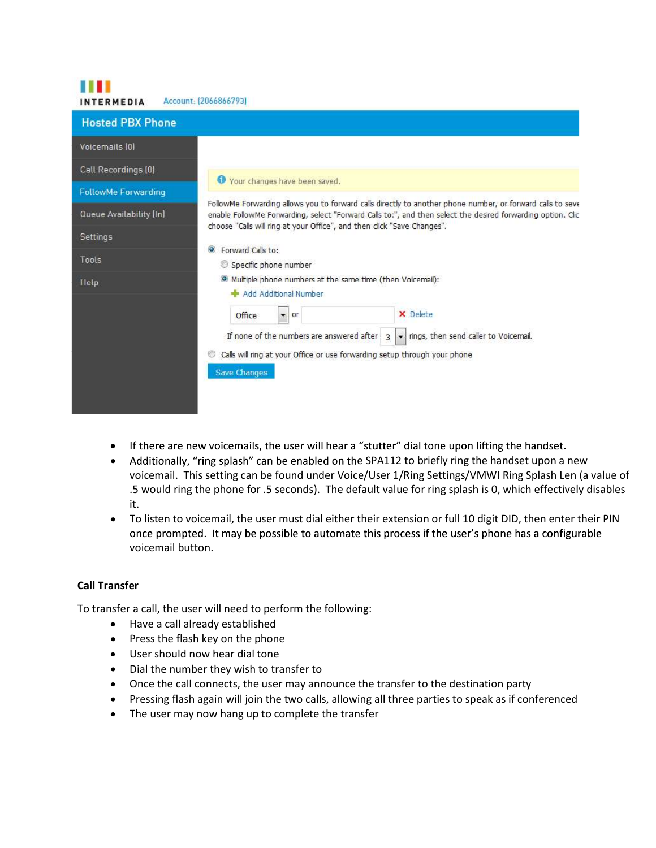| <b>INTERMEDIA</b>          | Account: (2066866793)                                                                                                                                                                                                     |
|----------------------------|---------------------------------------------------------------------------------------------------------------------------------------------------------------------------------------------------------------------------|
| <b>Hosted PBX Phone</b>    |                                                                                                                                                                                                                           |
| Voicemails (0)             |                                                                                                                                                                                                                           |
| Call Recordings (0)        | Vour changes have been saved.                                                                                                                                                                                             |
| <b>FollowMe Forwarding</b> |                                                                                                                                                                                                                           |
| Queue Availability [In]    | FollowMe Forwarding allows you to forward calls directly to another phone number, or forward calls to seve<br>enable FollowMe Forwarding, select "Forward Calls to:", and then select the desired forwarding option. Clic |
| Settings                   | choose "Calls will ring at your Office", and then click "Save Changes".                                                                                                                                                   |
| Tools                      | Forward Calls to:<br>$\odot$<br>Specific phone number                                                                                                                                                                     |
| Help                       | <sup>O</sup> Multiple phone numbers at the same time (then Voicemail):<br>Add Additional Number                                                                                                                           |
|                            | X Delete<br>Office<br>×.<br>or                                                                                                                                                                                            |
|                            | - rings, then send caller to Voicemail.<br>If none of the numbers are answered after 3                                                                                                                                    |
|                            | Calls will ring at your Office or use forwarding setup through your phone                                                                                                                                                 |
|                            | Save Changes                                                                                                                                                                                                              |
|                            |                                                                                                                                                                                                                           |
|                            |                                                                                                                                                                                                                           |

- If there are new voicemails, the user will hear a "stutter" dial tone upon lifting the handset.
- Additionally, "ring splash" can be enabled on the SPA112 to briefly ring the handset upon a new voicemail. This setting can be found under Voice/User 1/Ring Settings/VMWI Ring Splash Len (a value of .5 would ring the phone for .5 seconds). The default value for ring splash is 0, which effectively disables it.
- To listen to voicemail, the user must dial either their extension or full 10 digit DID, then enter their PIN  $\bullet$ once prompted. It may be possible to automate this process if the user's phone has a configurable voicemail button.

## Call Transfer

11 M M

To transfer a call, the user will need to perform the following:

- Have a call already established
- Press the flash key on the phone
- User should now hear dial tone
- Dial the number they wish to transfer to
- Once the call connects, the user may announce the transfer to the destination party
- Pressing flash again will join the two calls, allowing all three parties to speak as if conferenced
- The user may now hang up to complete the transfer  $\bullet$